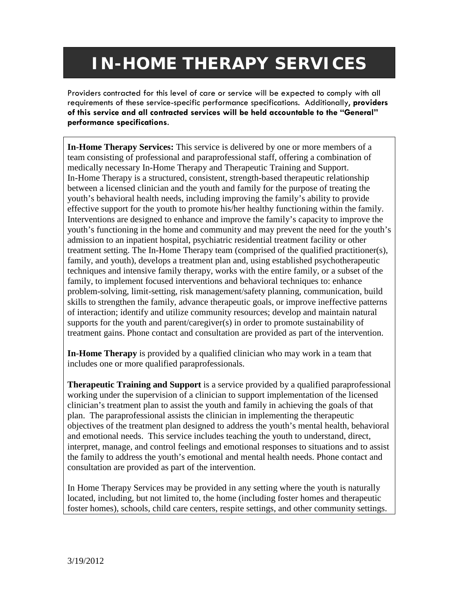## **IN-HOME THERAPY SERVICES**

Providers contracted for this level of care or service will be expected to comply with all requirements of these service-specific performance specifications. Additionally, **providers of this service and all contracted services will be held accountable to the "General" performance specifications**.

**In-Home Therapy Services:** This service is delivered by one or more members of a team consisting of professional and paraprofessional staff, offering a combination of medically necessary In-Home Therapy and Therapeutic Training and Support. In-Home Therapy is a structured, consistent, strength-based therapeutic relationship between a licensed clinician and the youth and family for the purpose of treating the youth's behavioral health needs, including improving the family's ability to provide effective support for the youth to promote his/her healthy functioning within the family. Interventions are designed to enhance and improve the family's capacity to improve the youth's functioning in the home and community and may prevent the need for the youth's admission to an inpatient hospital, psychiatric residential treatment facility or other treatment setting. The In-Home Therapy team (comprised of the qualified practitioner(s), family, and youth), develops a treatment plan and, using established psychotherapeutic techniques and intensive family therapy, works with the entire family, or a subset of the family, to implement focused interventions and behavioral techniques to: enhance problem-solving, limit-setting, risk management/safety planning, communication, build skills to strengthen the family, advance therapeutic goals, or improve ineffective patterns of interaction; identify and utilize community resources; develop and maintain natural supports for the youth and parent/caregiver(s) in order to promote sustainability of treatment gains. Phone contact and consultation are provided as part of the intervention.

**In-Home Therapy** is provided by a qualified clinician who may work in a team that includes one or more qualified paraprofessionals.

**Therapeutic Training and Support** is a service provided by a qualified paraprofessional working under the supervision of a clinician to support implementation of the licensed clinician's treatment plan to assist the youth and family in achieving the goals of that plan. The paraprofessional assists the clinician in implementing the therapeutic objectives of the treatment plan designed to address the youth's mental health, behavioral and emotional needs. This service includes teaching the youth to understand, direct, interpret, manage, and control feelings and emotional responses to situations and to assist the family to address the youth's emotional and mental health needs. Phone contact and consultation are provided as part of the intervention.

In Home Therapy Services may be provided in any setting where the youth is naturally located, including, but not limited to, the home (including foster homes and therapeutic foster homes), schools, child care centers, respite settings, and other community settings.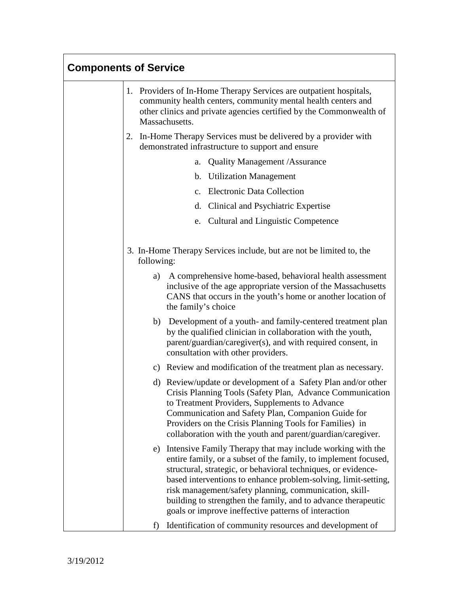| <b>Components of Service</b> |                                                                                                                                                                                                                                                                                                                                                                                                                                                        |  |
|------------------------------|--------------------------------------------------------------------------------------------------------------------------------------------------------------------------------------------------------------------------------------------------------------------------------------------------------------------------------------------------------------------------------------------------------------------------------------------------------|--|
|                              | 1. Providers of In-Home Therapy Services are outpatient hospitals,<br>community health centers, community mental health centers and<br>other clinics and private agencies certified by the Commonwealth of<br>Massachusetts.                                                                                                                                                                                                                           |  |
|                              | 2. In-Home Therapy Services must be delivered by a provider with<br>demonstrated infrastructure to support and ensure                                                                                                                                                                                                                                                                                                                                  |  |
|                              | <b>Quality Management /Assurance</b><br>a.                                                                                                                                                                                                                                                                                                                                                                                                             |  |
|                              | <b>Utilization Management</b><br>$\mathbf{b}$ .                                                                                                                                                                                                                                                                                                                                                                                                        |  |
|                              | <b>Electronic Data Collection</b><br>$\mathbf{c}$ .                                                                                                                                                                                                                                                                                                                                                                                                    |  |
|                              | Clinical and Psychiatric Expertise<br>d.                                                                                                                                                                                                                                                                                                                                                                                                               |  |
|                              | <b>Cultural and Linguistic Competence</b><br>e.                                                                                                                                                                                                                                                                                                                                                                                                        |  |
|                              | 3. In-Home Therapy Services include, but are not be limited to, the<br>following:                                                                                                                                                                                                                                                                                                                                                                      |  |
|                              | A comprehensive home-based, behavioral health assessment<br>a)<br>inclusive of the age appropriate version of the Massachusetts<br>CANS that occurs in the youth's home or another location of<br>the family's choice                                                                                                                                                                                                                                  |  |
|                              | b) Development of a youth- and family-centered treatment plan<br>by the qualified clinician in collaboration with the youth,<br>parent/guardian/caregiver(s), and with required consent, in<br>consultation with other providers.                                                                                                                                                                                                                      |  |
|                              | c) Review and modification of the treatment plan as necessary.                                                                                                                                                                                                                                                                                                                                                                                         |  |
|                              | d) Review/update or development of a Safety Plan and/or other<br>Crisis Planning Tools (Safety Plan, Advance Communication<br>to Treatment Providers, Supplements to Advance<br>Communication and Safety Plan, Companion Guide for<br>Providers on the Crisis Planning Tools for Families) in<br>collaboration with the youth and parent/guardian/caregiver.                                                                                           |  |
|                              | e) Intensive Family Therapy that may include working with the<br>entire family, or a subset of the family, to implement focused,<br>structural, strategic, or behavioral techniques, or evidence-<br>based interventions to enhance problem-solving, limit-setting,<br>risk management/safety planning, communication, skill-<br>building to strengthen the family, and to advance therapeutic<br>goals or improve ineffective patterns of interaction |  |
|                              | Identification of community resources and development of<br>f)                                                                                                                                                                                                                                                                                                                                                                                         |  |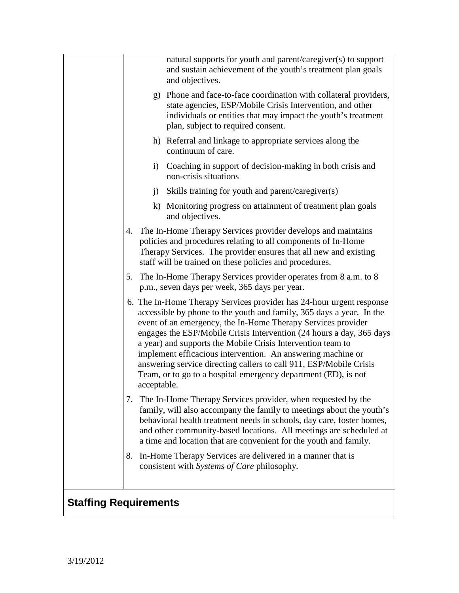|                              |             | natural supports for youth and parent/caregiver(s) to support<br>and sustain achievement of the youth's treatment plan goals<br>and objectives.                                                                                                                                                                                                                                                                                                                                                                                                            |
|------------------------------|-------------|------------------------------------------------------------------------------------------------------------------------------------------------------------------------------------------------------------------------------------------------------------------------------------------------------------------------------------------------------------------------------------------------------------------------------------------------------------------------------------------------------------------------------------------------------------|
|                              |             | g) Phone and face-to-face coordination with collateral providers,<br>state agencies, ESP/Mobile Crisis Intervention, and other<br>individuals or entities that may impact the youth's treatment<br>plan, subject to required consent.                                                                                                                                                                                                                                                                                                                      |
|                              |             | h) Referral and linkage to appropriate services along the<br>continuum of care.                                                                                                                                                                                                                                                                                                                                                                                                                                                                            |
|                              |             | i) Coaching in support of decision-making in both crisis and<br>non-crisis situations                                                                                                                                                                                                                                                                                                                                                                                                                                                                      |
|                              |             | j) Skills training for youth and parent/caregiver(s)                                                                                                                                                                                                                                                                                                                                                                                                                                                                                                       |
|                              |             | k) Monitoring progress on attainment of treatment plan goals<br>and objectives.                                                                                                                                                                                                                                                                                                                                                                                                                                                                            |
|                              |             | 4. The In-Home Therapy Services provider develops and maintains<br>policies and procedures relating to all components of In-Home<br>Therapy Services. The provider ensures that all new and existing<br>staff will be trained on these policies and procedures.                                                                                                                                                                                                                                                                                            |
|                              |             | 5. The In-Home Therapy Services provider operates from 8 a.m. to 8<br>p.m., seven days per week, 365 days per year.                                                                                                                                                                                                                                                                                                                                                                                                                                        |
|                              | acceptable. | 6. The In-Home Therapy Services provider has 24-hour urgent response<br>accessible by phone to the youth and family, 365 days a year. In the<br>event of an emergency, the In-Home Therapy Services provider<br>engages the ESP/Mobile Crisis Intervention (24 hours a day, 365 days<br>a year) and supports the Mobile Crisis Intervention team to<br>implement efficacious intervention. An answering machine or<br>answering service directing callers to call 911, ESP/Mobile Crisis<br>Team, or to go to a hospital emergency department (ED), is not |
|                              | 7.          | The In-Home Therapy Services provider, when requested by the<br>family, will also accompany the family to meetings about the youth's<br>behavioral health treatment needs in schools, day care, foster homes,<br>and other community-based locations. All meetings are scheduled at<br>a time and location that are convenient for the youth and family.                                                                                                                                                                                                   |
|                              | 8.          | In-Home Therapy Services are delivered in a manner that is<br>consistent with Systems of Care philosophy.                                                                                                                                                                                                                                                                                                                                                                                                                                                  |
| <b>Staffing Requirements</b> |             |                                                                                                                                                                                                                                                                                                                                                                                                                                                                                                                                                            |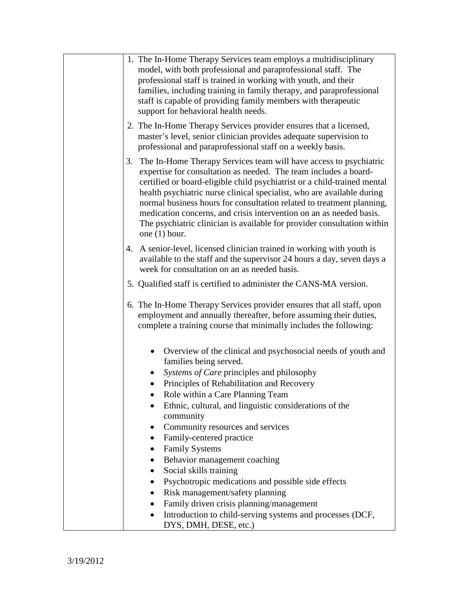| 1. The In-Home Therapy Services team employs a multidisciplinary<br>model, with both professional and paraprofessional staff. The<br>professional staff is trained in working with youth, and their<br>families, including training in family therapy, and paraprofessional<br>staff is capable of providing family members with therapeutic<br>support for behavioral health needs.                                                                                                                                                                                                                                                                                                                                                                                           |
|--------------------------------------------------------------------------------------------------------------------------------------------------------------------------------------------------------------------------------------------------------------------------------------------------------------------------------------------------------------------------------------------------------------------------------------------------------------------------------------------------------------------------------------------------------------------------------------------------------------------------------------------------------------------------------------------------------------------------------------------------------------------------------|
| 2. The In-Home Therapy Services provider ensures that a licensed,<br>master's level, senior clinician provides adequate supervision to<br>professional and paraprofessional staff on a weekly basis.                                                                                                                                                                                                                                                                                                                                                                                                                                                                                                                                                                           |
| 3. The In-Home Therapy Services team will have access to psychiatric<br>expertise for consultation as needed. The team includes a board-<br>certified or board-eligible child psychiatrist or a child-trained mental<br>health psychiatric nurse clinical specialist, who are available during<br>normal business hours for consultation related to treatment planning,<br>medication concerns, and crisis intervention on an as needed basis.<br>The psychiatric clinician is available for provider consultation within<br>one $(1)$ hour.                                                                                                                                                                                                                                   |
| 4. A senior-level, licensed clinician trained in working with youth is<br>available to the staff and the supervisor 24 hours a day, seven days a<br>week for consultation on an as needed basis.                                                                                                                                                                                                                                                                                                                                                                                                                                                                                                                                                                               |
| 5. Qualified staff is certified to administer the CANS-MA version.                                                                                                                                                                                                                                                                                                                                                                                                                                                                                                                                                                                                                                                                                                             |
| 6. The In-Home Therapy Services provider ensures that all staff, upon<br>employment and annually thereafter, before assuming their duties,<br>complete a training course that minimally includes the following:                                                                                                                                                                                                                                                                                                                                                                                                                                                                                                                                                                |
| Overview of the clinical and psychosocial needs of youth and<br>families being served.<br>Systems of Care principles and philosophy<br>Principles of Rehabilitation and Recovery<br>$\bullet$<br>Role within a Care Planning Team<br>Ethnic, cultural, and linguistic considerations of the<br>community<br>Community resources and services<br>Family-centered practice<br>$\bullet$<br><b>Family Systems</b><br>$\bullet$<br>Behavior management coaching<br>$\bullet$<br>Social skills training<br>٠<br>Psychotropic medications and possible side effects<br>$\bullet$<br>Risk management/safety planning<br>$\bullet$<br>Family driven crisis planning/management<br>٠<br>Introduction to child-serving systems and processes (DCF,<br>$\bullet$<br>DYS, DMH, DESE, etc.) |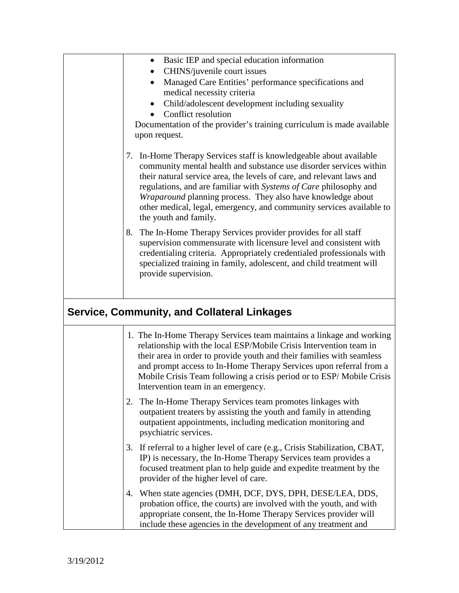| Basic IEP and special education information<br>٠<br>CHINS/juvenile court issues<br>$\bullet$<br>Managed Care Entities' performance specifications and<br>٠<br>medical necessity criteria<br>Child/adolescent development including sexuality<br>$\bullet$<br>Conflict resolution<br>Documentation of the provider's training curriculum is made available<br>upon request.                                                                                |
|-----------------------------------------------------------------------------------------------------------------------------------------------------------------------------------------------------------------------------------------------------------------------------------------------------------------------------------------------------------------------------------------------------------------------------------------------------------|
| In-Home Therapy Services staff is knowledgeable about available<br>7.<br>community mental health and substance use disorder services within<br>their natural service area, the levels of care, and relevant laws and<br>regulations, and are familiar with Systems of Care philosophy and<br>Wraparound planning process. They also have knowledge about<br>other medical, legal, emergency, and community services available to<br>the youth and family. |
| 8. The In-Home Therapy Services provider provides for all staff<br>supervision commensurate with licensure level and consistent with<br>credentialing criteria. Appropriately credentialed professionals with<br>specialized training in family, adolescent, and child treatment will<br>provide supervision.                                                                                                                                             |
| <b>Service, Community, and Collateral Linkages</b>                                                                                                                                                                                                                                                                                                                                                                                                        |
| 1. The In-Home Therapy Services team maintains a linkage and working<br>relationship with the local ESP/Mobile Crisis Intervention team in<br>their area in order to provide youth and their families with seamless<br>and prompt access to In-Home Therapy Services upon referral from a<br>Mobile Crisis Team following a crisis period or to ESP/Mobile Crisis<br>Intervention team in an emergency.                                                   |
| The In-Home Therapy Services team promotes linkages with<br>2.<br>outpatient treaters by assisting the youth and family in attending<br>outpatient appointments, including medication monitoring and<br>psychiatric services.                                                                                                                                                                                                                             |
| If referral to a higher level of care (e.g., Crisis Stabilization, CBAT,<br>3.<br>IP) is necessary, the In-Home Therapy Services team provides a<br>focused treatment plan to help guide and expedite treatment by the<br>provider of the higher level of care.                                                                                                                                                                                           |
| When state agencies (DMH, DCF, DYS, DPH, DESE/LEA, DDS,<br>4.<br>probation office, the courts) are involved with the youth, and with<br>appropriate consent, the In-Home Therapy Services provider will<br>include these agencies in the development of any treatment and                                                                                                                                                                                 |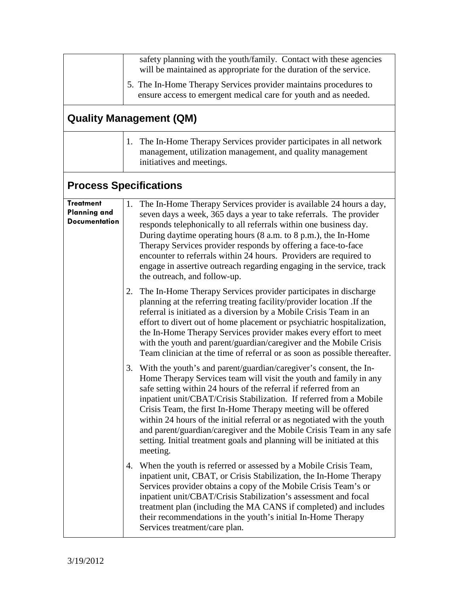|                                                                 | safety planning with the youth/family. Contact with these agencies<br>will be maintained as appropriate for the duration of the service.                                                                                                                                                                                                                                                                                                                                                                                                                                                         |
|-----------------------------------------------------------------|--------------------------------------------------------------------------------------------------------------------------------------------------------------------------------------------------------------------------------------------------------------------------------------------------------------------------------------------------------------------------------------------------------------------------------------------------------------------------------------------------------------------------------------------------------------------------------------------------|
|                                                                 | 5. The In-Home Therapy Services provider maintains procedures to<br>ensure access to emergent medical care for youth and as needed.                                                                                                                                                                                                                                                                                                                                                                                                                                                              |
|                                                                 | <b>Quality Management (QM)</b>                                                                                                                                                                                                                                                                                                                                                                                                                                                                                                                                                                   |
|                                                                 | 1. The In-Home Therapy Services provider participates in all network<br>management, utilization management, and quality management<br>initiatives and meetings.                                                                                                                                                                                                                                                                                                                                                                                                                                  |
|                                                                 | <b>Process Specifications</b>                                                                                                                                                                                                                                                                                                                                                                                                                                                                                                                                                                    |
| <b>Treatment</b><br><b>Planning and</b><br><b>Documentation</b> | The In-Home Therapy Services provider is available 24 hours a day,<br>1.<br>seven days a week, 365 days a year to take referrals. The provider<br>responds telephonically to all referrals within one business day.<br>During daytime operating hours (8 a.m. to 8 p.m.), the In-Home<br>Therapy Services provider responds by offering a face-to-face<br>encounter to referrals within 24 hours. Providers are required to<br>engage in assertive outreach regarding engaging in the service, track<br>the outreach, and follow-up.                                                             |
|                                                                 | 2. The In-Home Therapy Services provider participates in discharge<br>planning at the referring treating facility/provider location .If the<br>referral is initiated as a diversion by a Mobile Crisis Team in an<br>effort to divert out of home placement or psychiatric hospitalization,<br>the In-Home Therapy Services provider makes every effort to meet<br>with the youth and parent/guardian/caregiver and the Mobile Crisis<br>Team clinician at the time of referral or as soon as possible thereafter.                                                                               |
|                                                                 | 3. With the youth's and parent/guardian/caregiver's consent, the In-<br>Home Therapy Services team will visit the youth and family in any<br>safe setting within 24 hours of the referral if referred from an<br>inpatient unit/CBAT/Crisis Stabilization. If referred from a Mobile<br>Crisis Team, the first In-Home Therapy meeting will be offered<br>within 24 hours of the initial referral or as negotiated with the youth<br>and parent/guardian/caregiver and the Mobile Crisis Team in any safe<br>setting. Initial treatment goals and planning will be initiated at this<br>meeting. |
|                                                                 | 4. When the youth is referred or assessed by a Mobile Crisis Team,<br>inpatient unit, CBAT, or Crisis Stabilization, the In-Home Therapy<br>Services provider obtains a copy of the Mobile Crisis Team's or<br>inpatient unit/CBAT/Crisis Stabilization's assessment and focal<br>treatment plan (including the MA CANS if completed) and includes<br>their recommendations in the youth's initial In-Home Therapy<br>Services treatment/care plan.                                                                                                                                              |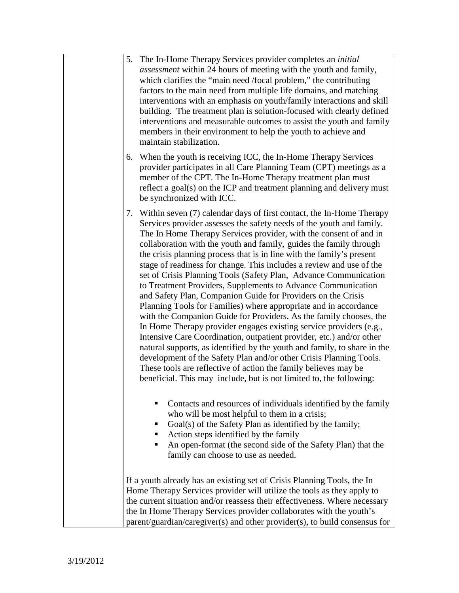| 5. The In-Home Therapy Services provider completes an initial<br><i>assessment</i> within 24 hours of meeting with the youth and family,<br>which clarifies the "main need /focal problem," the contributing<br>factors to the main need from multiple life domains, and matching<br>interventions with an emphasis on youth/family interactions and skill<br>building. The treatment plan is solution-focused with clearly defined<br>interventions and measurable outcomes to assist the youth and family<br>members in their environment to help the youth to achieve and<br>maintain stabilization.                                                                                                                                                                                                                                                                                                                                                                                                                                                                                                                                                                                                                             |
|-------------------------------------------------------------------------------------------------------------------------------------------------------------------------------------------------------------------------------------------------------------------------------------------------------------------------------------------------------------------------------------------------------------------------------------------------------------------------------------------------------------------------------------------------------------------------------------------------------------------------------------------------------------------------------------------------------------------------------------------------------------------------------------------------------------------------------------------------------------------------------------------------------------------------------------------------------------------------------------------------------------------------------------------------------------------------------------------------------------------------------------------------------------------------------------------------------------------------------------|
| When the youth is receiving ICC, the In-Home Therapy Services<br>6.<br>provider participates in all Care Planning Team (CPT) meetings as a<br>member of the CPT. The In-Home Therapy treatment plan must<br>reflect a goal(s) on the ICP and treatment planning and delivery must<br>be synchronized with ICC.                                                                                                                                                                                                                                                                                                                                                                                                                                                                                                                                                                                                                                                                                                                                                                                                                                                                                                                      |
| 7. Within seven (7) calendar days of first contact, the In-Home Therapy<br>Services provider assesses the safety needs of the youth and family.<br>The In Home Therapy Services provider, with the consent of and in<br>collaboration with the youth and family, guides the family through<br>the crisis planning process that is in line with the family's present<br>stage of readiness for change. This includes a review and use of the<br>set of Crisis Planning Tools (Safety Plan, Advance Communication<br>to Treatment Providers, Supplements to Advance Communication<br>and Safety Plan, Companion Guide for Providers on the Crisis<br>Planning Tools for Families) where appropriate and in accordance<br>with the Companion Guide for Providers. As the family chooses, the<br>In Home Therapy provider engages existing service providers (e.g.,<br>Intensive Care Coordination, outpatient provider, etc.) and/or other<br>natural supports, as identified by the youth and family, to share in the<br>development of the Safety Plan and/or other Crisis Planning Tools.<br>These tools are reflective of action the family believes may be<br>beneficial. This may include, but is not limited to, the following: |
| Contacts and resources of individuals identified by the family<br>who will be most helpful to them in a crisis;<br>Goal(s) of the Safety Plan as identified by the family;<br>Action steps identified by the family<br>ш<br>An open-format (the second side of the Safety Plan) that the<br>family can choose to use as needed.                                                                                                                                                                                                                                                                                                                                                                                                                                                                                                                                                                                                                                                                                                                                                                                                                                                                                                     |
| If a youth already has an existing set of Crisis Planning Tools, the In<br>Home Therapy Services provider will utilize the tools as they apply to<br>the current situation and/or reassess their effectiveness. Where necessary<br>the In Home Therapy Services provider collaborates with the youth's<br>parent/guardian/caregiver(s) and other provider(s), to build consensus for                                                                                                                                                                                                                                                                                                                                                                                                                                                                                                                                                                                                                                                                                                                                                                                                                                                |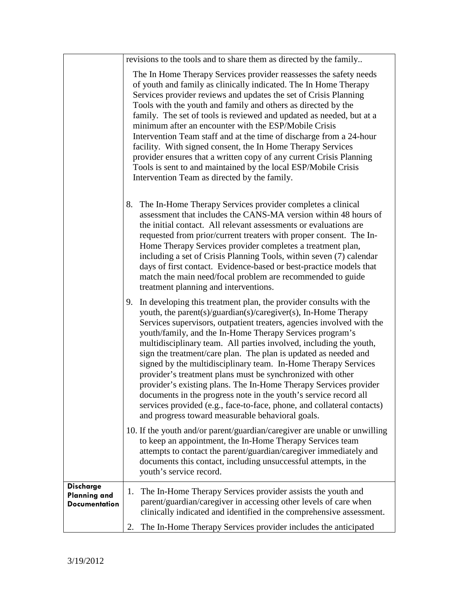|                                                                 | revisions to the tools and to share them as directed by the family                                                                                                                                                                                                                                                                                                                                                                                                                                                                                                                                                                                                                                                                                                                                                                                                                                      |
|-----------------------------------------------------------------|---------------------------------------------------------------------------------------------------------------------------------------------------------------------------------------------------------------------------------------------------------------------------------------------------------------------------------------------------------------------------------------------------------------------------------------------------------------------------------------------------------------------------------------------------------------------------------------------------------------------------------------------------------------------------------------------------------------------------------------------------------------------------------------------------------------------------------------------------------------------------------------------------------|
|                                                                 | The In Home Therapy Services provider reassesses the safety needs<br>of youth and family as clinically indicated. The In Home Therapy<br>Services provider reviews and updates the set of Crisis Planning<br>Tools with the youth and family and others as directed by the<br>family. The set of tools is reviewed and updated as needed, but at a<br>minimum after an encounter with the ESP/Mobile Crisis<br>Intervention Team staff and at the time of discharge from a 24-hour<br>facility. With signed consent, the In Home Therapy Services<br>provider ensures that a written copy of any current Crisis Planning<br>Tools is sent to and maintained by the local ESP/Mobile Crisis<br>Intervention Team as directed by the family.                                                                                                                                                              |
|                                                                 | 8. The In-Home Therapy Services provider completes a clinical<br>assessment that includes the CANS-MA version within 48 hours of<br>the initial contact. All relevant assessments or evaluations are<br>requested from prior/current treaters with proper consent. The In-<br>Home Therapy Services provider completes a treatment plan,<br>including a set of Crisis Planning Tools, within seven (7) calendar<br>days of first contact. Evidence-based or best-practice models that<br>match the main need/focal problem are recommended to guide<br>treatment planning and interventions.                                                                                                                                                                                                                                                                                                            |
|                                                                 | 9. In developing this treatment plan, the provider consults with the<br>youth, the parent(s)/guardian(s)/caregiver(s), In-Home Therapy<br>Services supervisors, outpatient treaters, agencies involved with the<br>youth/family, and the In-Home Therapy Services program's<br>multidisciplinary team. All parties involved, including the youth,<br>sign the treatment/care plan. The plan is updated as needed and<br>signed by the multidisciplinary team. In-Home Therapy Services<br>provider's treatment plans must be synchronized with other<br>provider's existing plans. The In-Home Therapy Services provider<br>documents in the progress note in the youth's service record all<br>services provided (e.g., face-to-face, phone, and collateral contacts)<br>and progress toward measurable behavioral goals.<br>10. If the youth and/or parent/guardian/caregiver are unable or unwilling |
|                                                                 | to keep an appointment, the In-Home Therapy Services team<br>attempts to contact the parent/guardian/caregiver immediately and<br>documents this contact, including unsuccessful attempts, in the<br>youth's service record.                                                                                                                                                                                                                                                                                                                                                                                                                                                                                                                                                                                                                                                                            |
| <b>Discharge</b><br><b>Planning and</b><br><b>Documentation</b> | The In-Home Therapy Services provider assists the youth and<br>$\mathbf{I}$ .<br>parent/guardian/caregiver in accessing other levels of care when<br>clinically indicated and identified in the comprehensive assessment.                                                                                                                                                                                                                                                                                                                                                                                                                                                                                                                                                                                                                                                                               |
|                                                                 | The In-Home Therapy Services provider includes the anticipated<br>2.                                                                                                                                                                                                                                                                                                                                                                                                                                                                                                                                                                                                                                                                                                                                                                                                                                    |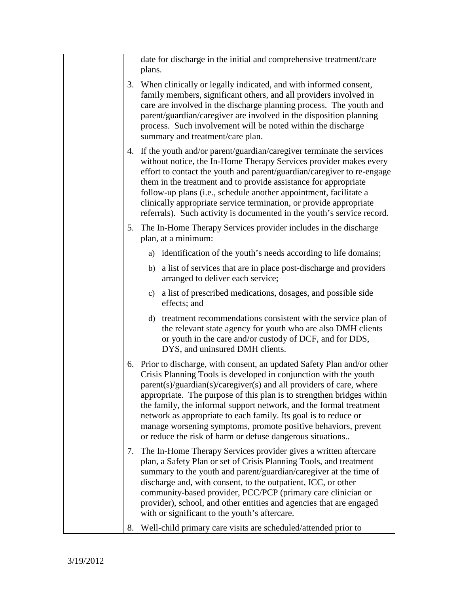|  | plans.                                                                                                                                                                                                                                                                                                                                                                                   | date for discharge in the initial and comprehensive treatment/care                                                                                                                                                                                                                                                                                                                                                                                                                                                                                                   |  |  |
|--|------------------------------------------------------------------------------------------------------------------------------------------------------------------------------------------------------------------------------------------------------------------------------------------------------------------------------------------------------------------------------------------|----------------------------------------------------------------------------------------------------------------------------------------------------------------------------------------------------------------------------------------------------------------------------------------------------------------------------------------------------------------------------------------------------------------------------------------------------------------------------------------------------------------------------------------------------------------------|--|--|
|  | 3. When clinically or legally indicated, and with informed consent,<br>family members, significant others, and all providers involved in<br>care are involved in the discharge planning process. The youth and<br>parent/guardian/caregiver are involved in the disposition planning<br>process. Such involvement will be noted within the discharge<br>summary and treatment/care plan. |                                                                                                                                                                                                                                                                                                                                                                                                                                                                                                                                                                      |  |  |
|  |                                                                                                                                                                                                                                                                                                                                                                                          | 4. If the youth and/or parent/guardian/caregiver terminate the services<br>without notice, the In-Home Therapy Services provider makes every<br>effort to contact the youth and parent/guardian/caregiver to re-engage<br>them in the treatment and to provide assistance for appropriate<br>follow-up plans (i.e., schedule another appointment, facilitate a<br>clinically appropriate service termination, or provide appropriate<br>referrals). Such activity is documented in the youth's service record.                                                       |  |  |
|  |                                                                                                                                                                                                                                                                                                                                                                                          | 5. The In-Home Therapy Services provider includes in the discharge<br>plan, at a minimum:                                                                                                                                                                                                                                                                                                                                                                                                                                                                            |  |  |
|  |                                                                                                                                                                                                                                                                                                                                                                                          | a) identification of the youth's needs according to life domains;                                                                                                                                                                                                                                                                                                                                                                                                                                                                                                    |  |  |
|  |                                                                                                                                                                                                                                                                                                                                                                                          | b) a list of services that are in place post-discharge and providers<br>arranged to deliver each service;                                                                                                                                                                                                                                                                                                                                                                                                                                                            |  |  |
|  |                                                                                                                                                                                                                                                                                                                                                                                          | c) a list of prescribed medications, dosages, and possible side<br>effects; and                                                                                                                                                                                                                                                                                                                                                                                                                                                                                      |  |  |
|  |                                                                                                                                                                                                                                                                                                                                                                                          | d) treatment recommendations consistent with the service plan of<br>the relevant state agency for youth who are also DMH clients<br>or youth in the care and/or custody of DCF, and for DDS,<br>DYS, and uninsured DMH clients.                                                                                                                                                                                                                                                                                                                                      |  |  |
|  |                                                                                                                                                                                                                                                                                                                                                                                          | 6. Prior to discharge, with consent, an updated Safety Plan and/or other<br>Crisis Planning Tools is developed in conjunction with the youth<br>parent(s)/guardian(s)/caregiver(s) and all providers of care, where<br>appropriate. The purpose of this plan is to strengthen bridges within<br>the family, the informal support network, and the formal treatment<br>network as appropriate to each family. Its goal is to reduce or<br>manage worsening symptoms, promote positive behaviors, prevent<br>or reduce the risk of harm or defuse dangerous situations |  |  |
|  |                                                                                                                                                                                                                                                                                                                                                                                          | 7. The In-Home Therapy Services provider gives a written aftercare<br>plan, a Safety Plan or set of Crisis Planning Tools, and treatment<br>summary to the youth and parent/guardian/caregiver at the time of<br>discharge and, with consent, to the outpatient, ICC, or other<br>community-based provider, PCC/PCP (primary care clinician or<br>provider), school, and other entities and agencies that are engaged<br>with or significant to the youth's aftercare.                                                                                               |  |  |
|  |                                                                                                                                                                                                                                                                                                                                                                                          | 8. Well-child primary care visits are scheduled/attended prior to                                                                                                                                                                                                                                                                                                                                                                                                                                                                                                    |  |  |